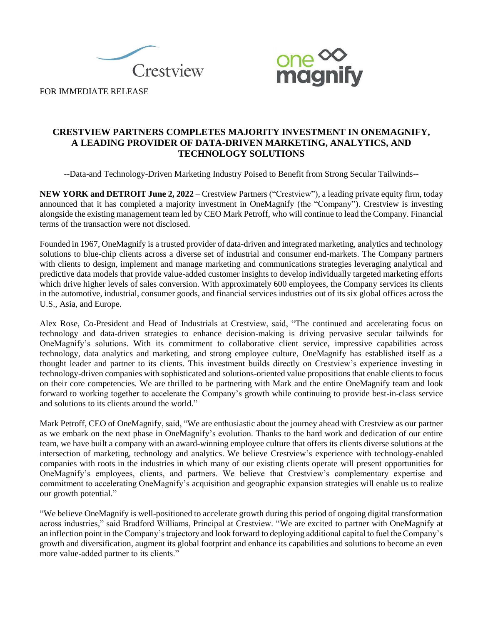



FOR IMMEDIATE RELEASE

# **CRESTVIEW PARTNERS COMPLETES MAJORITY INVESTMENT IN ONEMAGNIFY, A LEADING PROVIDER OF DATA-DRIVEN MARKETING, ANALYTICS, AND TECHNOLOGY SOLUTIONS**

--Data-and Technology-Driven Marketing Industry Poised to Benefit from Strong Secular Tailwinds--

**NEW YORK and DETROIT June 2, 2022** – Crestview Partners ("Crestview"), a leading private equity firm, today announced that it has completed a majority investment in OneMagnify (the "Company"). Crestview is investing alongside the existing management team led by CEO Mark Petroff, who will continue to lead the Company. Financial terms of the transaction were not disclosed.

Founded in 1967, OneMagnify is a trusted provider of data-driven and integrated marketing, analytics and technology solutions to blue-chip clients across a diverse set of industrial and consumer end-markets. The Company partners with clients to design, implement and manage marketing and communications strategies leveraging analytical and predictive data models that provide value-added customer insights to develop individually targeted marketing efforts which drive higher levels of sales conversion. With approximately 600 employees, the Company services its clients in the automotive, industrial, consumer goods, and financial services industries out of its six global offices across the U.S., Asia, and Europe.

Alex Rose, Co-President and Head of Industrials at Crestview, said, "The continued and accelerating focus on technology and data-driven strategies to enhance decision-making is driving pervasive secular tailwinds for OneMagnify's solutions. With its commitment to collaborative client service, impressive capabilities across technology, data analytics and marketing, and strong employee culture, OneMagnify has established itself as a thought leader and partner to its clients. This investment builds directly on Crestview's experience investing in technology-driven companies with sophisticated and solutions-oriented value propositions that enable clients to focus on their core competencies. We are thrilled to be partnering with Mark and the entire OneMagnify team and look forward to working together to accelerate the Company's growth while continuing to provide best-in-class service and solutions to its clients around the world."

Mark Petroff, CEO of OneMagnify, said, "We are enthusiastic about the journey ahead with Crestview as our partner as we embark on the next phase in OneMagnify's evolution. Thanks to the hard work and dedication of our entire team, we have built a company with an award-winning employee culture that offers its clients diverse solutions at the intersection of marketing, technology and analytics. We believe Crestview's experience with technology-enabled companies with roots in the industries in which many of our existing clients operate will present opportunities for OneMagnify's employees, clients, and partners. We believe that Crestview's complementary expertise and commitment to accelerating OneMagnify's acquisition and geographic expansion strategies will enable us to realize our growth potential."

"We believe OneMagnify is well-positioned to accelerate growth during this period of ongoing digital transformation across industries," said Bradford Williams, Principal at Crestview. "We are excited to partner with OneMagnify at an inflection point in the Company's trajectory and look forward to deploying additional capital to fuel the Company's growth and diversification, augment its global footprint and enhance its capabilities and solutions to become an even more value-added partner to its clients."